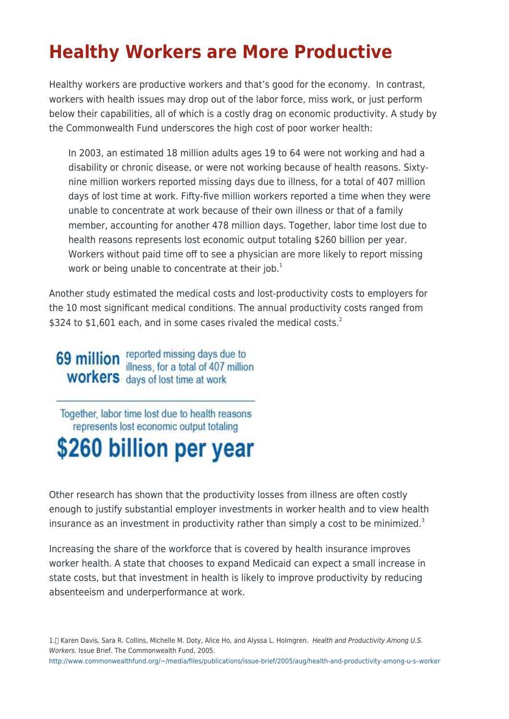## **Healthy Workers are More Productive**

Healthy workers are productive workers and that's good for the economy. In contrast, workers with health issues may drop out of the labor force, miss work, or just perform below their capabilities, all of which is a costly drag on economic productivity. A study by the Commonwealth Fund underscores the high cost of poor worker health:

In 2003, an estimated 18 million adults ages 19 to 64 were not working and had a disability or chronic disease, or were not working because of health reasons. Sixtynine million workers reported missing days due to illness, for a total of 407 million days of lost time at work. Fifty-five million workers reported a time when they were unable to concentrate at work because of their own illness or that of a family member, accounting for another 478 million days. Together, labor time lost due to health reasons represents lost economic output totaling \$260 billion per year. Workers without paid time off to see a physician are more likely to report missing work or being unable to concentrate at their job.<sup>1</sup>

Another study estimated the medical costs and lost-productivity costs to employers for the 10 most significant medical conditions. The annual productivity costs ranged from \$324 to \$1,601 each, and in some cases rivaled the medical costs. $^2$ 

**69 million** reported missing days due to<br>illness, for a total of 407 million **WORKERS** days of lost time at work

Together, labor time lost due to health reasons represents lost economic output totaling

## \$260 billion per year

Other research has shown that the productivity losses from illness are often costly enough to justify substantial employer investments in worker health and to view health insurance as an investment in productivity rather than simply a cost to be minimized.<sup>3</sup>

Increasing the share of the workforce that is covered by health insurance improves worker health. A state that chooses to expand Medicaid can expect a small increase in state costs, but that investment in health is likely to improve productivity by reducing absenteeism and underperformance at work.